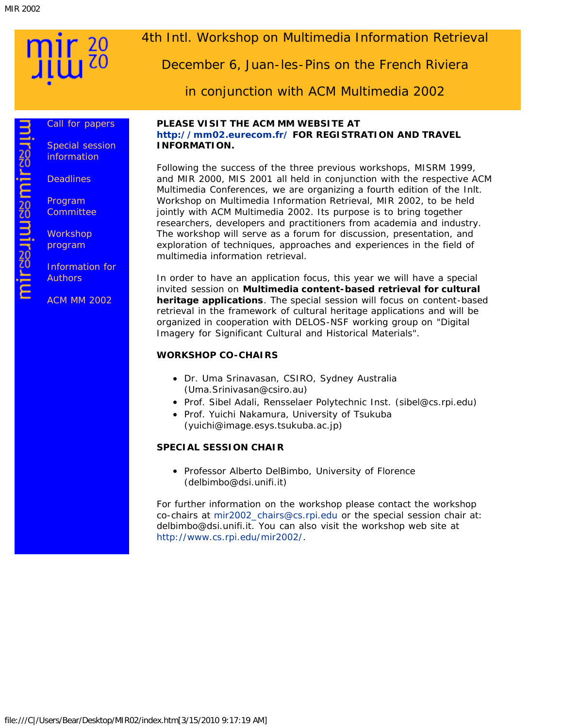mirasuuuasmirasuu

<span id="page-0-0"></span>

#### [Call for papers](#page-1-0)

[Special session](#page-3-0) [information](#page-3-0)

**[Deadlines](#page-4-0)** 

[Program](#page-5-0) **[Committee](#page-5-0)** 

**[Workshop](#page-6-0)** [program](#page-6-0)

[Information for](#page-8-0) **[Authors](#page-8-0)** 

[ACM MM 2002](javascript:if(confirm()

### 4th Intl. Workshop on Multimedia Information Retrieval

December 6, Juan-les-Pins on the French Riviera

in conjunction with ACM Multimedia 2002

#### **PLEASE VISIT THE ACM MM WEBSITE AT [http://mm02.eurecom.fr/](javascript:if(confirm() FOR REGISTRATION AND TRAVEL INFORMATION.**

Following the success of the three previous workshops, MISRM 1999, and MIR 2000, MIS 2001 all held in conjunction with the respective ACM Multimedia Conferences, we are organizing a fourth edition of the Inlt. Workshop on Multimedia Information Retrieval, MIR 2002, to be held jointly with ACM Multimedia 2002. Its purpose is to bring together researchers, developers and practitioners from academia and industry. The workshop will serve as a forum for discussion, presentation, and exploration of techniques, approaches and experiences in the field of multimedia information retrieval.

In order to have an application focus, this year we will have a special invited session on **Multimedia content-based retrieval for cultural heritage applications**. The special session will focus on content-based retrieval in the framework of cultural heritage applications and will be organized in cooperation with DELOS-NSF working group on "Digital Imagery for Significant Cultural and Historical Materials".

#### **WORKSHOP CO-CHAIRS**

- Dr. Uma Srinavasan, CSIRO, Sydney Australia (Uma.Srinivasan@csiro.au)
- Prof. Sibel Adali, Rensselaer Polytechnic Inst. (sibel@cs.rpi.edu)
- Prof. Yuichi Nakamura, University of Tsukuba (yuichi@image.esys.tsukuba.ac.jp)

#### **SPECIAL SESSION CHAIR**

• Professor Alberto DelBimbo, University of Florence (delbimbo@dsi.unifi.it)

For further information on the workshop please contact the workshop co-chairs at [mir2002\\_chairs@cs.rpi.edu](mailto:mir2002_chairs@cs.rpi.edu) or the special session chair at: delbimbo@dsi.unifi.it. You can also visit the workshop web site at [http://www.cs.rpi.edu/mir2002/.](#page-0-0)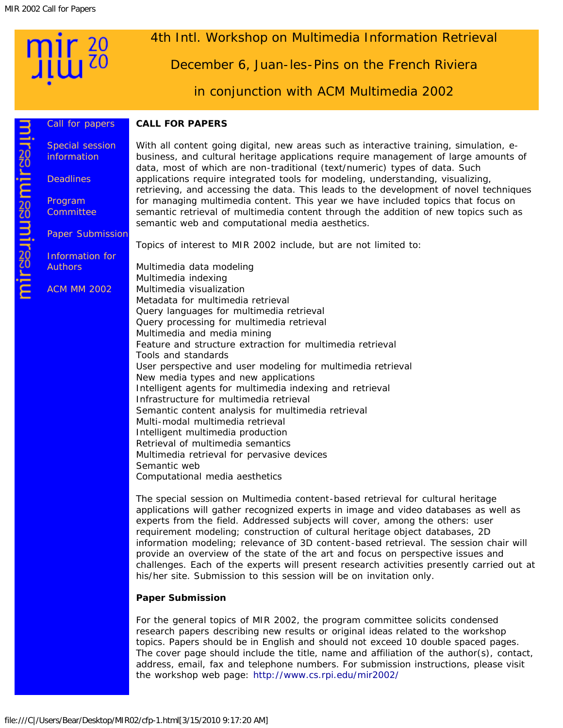#### 4th Intl. Workshop on Multimedia Information Retrieval

December 6, Juan-les-Pins on the French Riviera

in conjunction with ACM Multimedia 2002

#### <span id="page-1-0"></span>[Call for papers](#page-1-0) [Special session](#page-3-0) [information](#page-3-0)

**[Deadlines](#page-4-0)** 

[Program](#page-5-0) **[Committee](#page-5-0)** 

[Paper Submission](#page-9-0)

[Information for](#page-8-0) [Authors](#page-8-0)

[ACM MM 2002](javascript:if(confirm()

With all content going digital, new areas such as interactive training, simulation, ebusiness, and cultural heritage applications require management of large amounts of data, most of which are non-traditional (text/numeric) types of data. Such applications require integrated tools for modeling, understanding, visualizing, retrieving, and accessing the data. This leads to the development of novel techniques for managing multimedia content. This year we have included topics that focus on semantic retrieval of multimedia content through the addition of new topics such as semantic web and computational media aesthetics.

Topics of interest to MIR 2002 include, but are not limited to:

Multimedia data modeling Multimedia indexing Multimedia visualization Metadata for multimedia retrieval Query languages for multimedia retrieval Query processing for multimedia retrieval Multimedia and media mining Feature and structure extraction for multimedia retrieval Tools and standards User perspective and user modeling for multimedia retrieval New media types and new applications Intelligent agents for multimedia indexing and retrieval Infrastructure for multimedia retrieval Semantic content analysis for multimedia retrieval Multi-modal multimedia retrieval Intelligent multimedia production Retrieval of multimedia semantics Multimedia retrieval for pervasive devices Semantic web Computational media aesthetics

The special session on Multimedia content-based retrieval for cultural heritage applications will gather recognized experts in image and video databases as well as experts from the field. Addressed subjects will cover, among the others: user requirement modeling; construction of cultural heritage object databases, 2D information modeling; relevance of 3D content-based retrieval. The session chair will provide an overview of the state of the art and focus on perspective issues and challenges. Each of the experts will present research activities presently carried out at his/her site. Submission to this session will be on invitation only.

#### **Paper Submission**

**CALL FOR PAPERS**

For the general topics of MIR 2002, the program committee solicits condensed research papers describing new results or original ideas related to the workshop topics. Papers should be in English and should not exceed 10 double spaced pages. The cover page should include the title, name and affiliation of the author(s), contact, address, email, fax and telephone numbers. For submission instructions, please visit the workshop web page: [http://www.cs.rpi.edu/mir2002/](#page-0-0)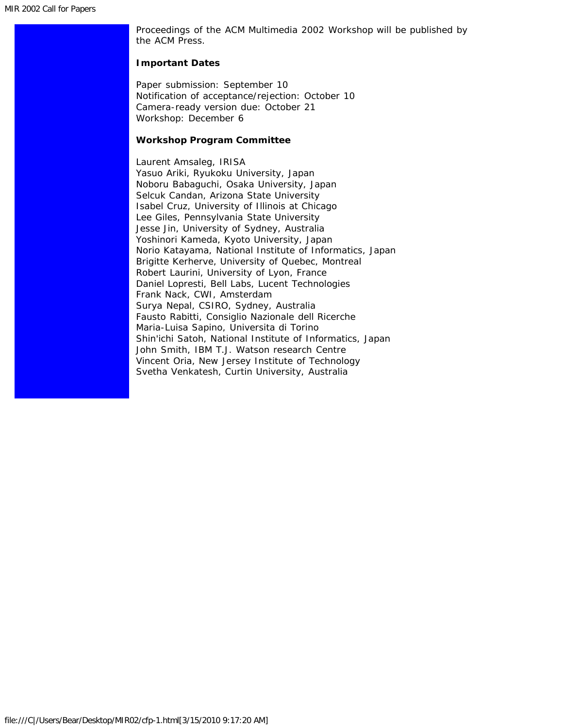Proceedings of the ACM Multimedia 2002 Workshop will be published by the ACM Press.

#### **Important Dates**

Paper submission: September 10 Notification of acceptance/rejection: October 10 Camera-ready version due: October 21 Workshop: December 6

#### **Workshop Program Committee**

Laurent Amsaleg, IRISA Yasuo Ariki, Ryukoku University, Japan Noboru Babaguchi, Osaka University, Japan Selcuk Candan, Arizona State University Isabel Cruz, University of Illinois at Chicago Lee Giles, Pennsylvania State University Jesse Jin, University of Sydney, Australia Yoshinori Kameda, Kyoto University, Japan Norio Katayama, National Institute of Informatics, Japan Brigitte Kerherve, University of Quebec, Montreal Robert Laurini, University of Lyon, France Daniel Lopresti, Bell Labs, Lucent Technologies Frank Nack, CWI, Amsterdam Surya Nepal, CSIRO, Sydney, Australia Fausto Rabitti, Consiglio Nazionale dell Ricerche Maria-Luisa Sapino, Universita di Torino Shin'ichi Satoh, National Institute of Informatics, Japan John Smith, IBM T.J. Watson research Centre Vincent Oria, New Jersey Institute of Technology Svetha Venkatesh, Curtin University, Australia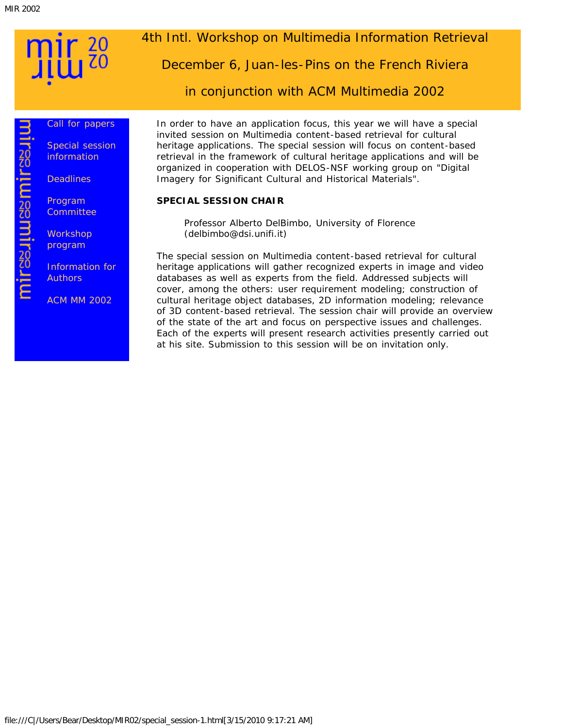**Mirashuashurashu** 

#### <span id="page-3-0"></span>[Call for papers](#page-1-0)

[Special session](#page-3-0) [information](#page-3-0)

**[Deadlines](#page-4-0)** 

[Program](#page-5-0) **[Committee](#page-5-0)** 

**[Workshop](#page-6-0)** [program](#page-6-0)

[Information for](#page-8-0) **[Authors](#page-8-0)** 

[ACM MM 2002](javascript:if(confirm()

## 4th Intl. Workshop on Multimedia Information Retrieval

December 6, Juan-les-Pins on the French Riviera

in conjunction with ACM Multimedia 2002

In order to have an application focus, this year we will have a special invited session on Multimedia content-based retrieval for cultural heritage applications. The special session will focus on content-based retrieval in the framework of cultural heritage applications and will be organized in cooperation with DELOS-NSF working group on "Digital Imagery for Significant Cultural and Historical Materials".

#### **SPECIAL SESSION CHAIR**

Professor Alberto DelBimbo, University of Florence (delbimbo@dsi.unifi.it)

The special session on Multimedia content-based retrieval for cultural heritage applications will gather recognized experts in image and video databases as well as experts from the field. Addressed subjects will cover, among the others: user requirement modeling; construction of cultural heritage object databases, 2D information modeling; relevance of 3D content-based retrieval. The session chair will provide an overview of the state of the art and focus on perspective issues and challenges. Each of the experts will present research activities presently carried out at his site. Submission to this session will be on invitation only.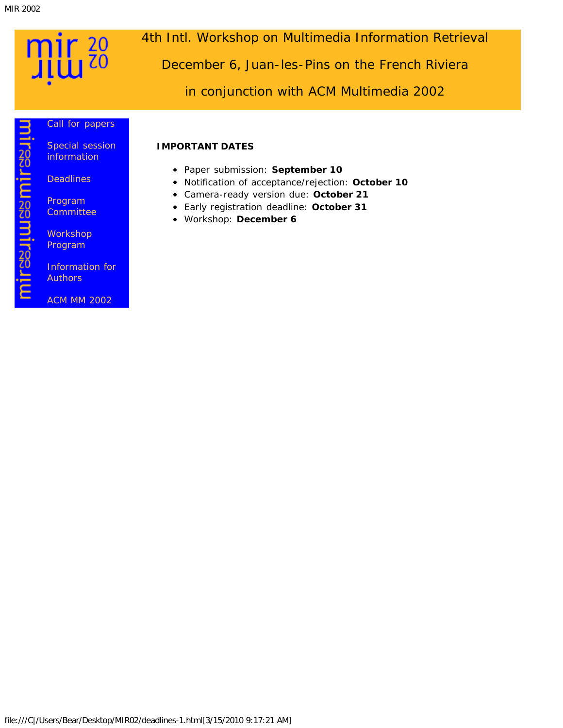mirasuusamirasiin

## <span id="page-4-0"></span> $\frac{20}{10}$ η

4th Intl. Workshop on Multimedia Information Retrieval

December 6, Juan-les-Pins on the French Riviera

in conjunction with ACM Multimedia 2002

#### [Call for papers](#page-1-0)

[Special session](#page-3-0) [information](#page-3-0)

**[Deadlines](#page-4-0)** 

[Program](#page-5-0) **[Committee](#page-5-0)** 

**[Workshop](#page-6-0)** [Program](#page-6-0)

[Information for](#page-8-0) **[Authors](#page-8-0)** 

[ACM MM 2002](javascript:if(confirm()

Paper submission: **September 10**

**IMPORTANT DATES**

- Notification of acceptance/rejection: **October 10**
- Camera-ready version due: **October 21**
- Early registration deadline: **October 31**
- Workshop: **December 6**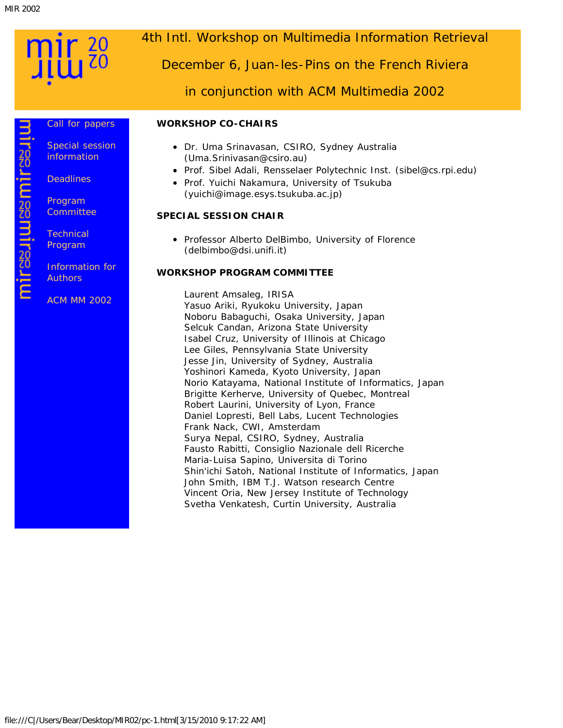mirasuuuasmirasuu

#### <span id="page-5-0"></span>[Call for papers](#page-1-0) [Special session](#page-3-0) [information](#page-3-0)

**[Deadlines](#page-4-0)** 

[Program](#page-5-0) **[Committee](#page-5-0)** 

**[Technical](#page-6-0)** [Program](#page-6-0)

[Information for](#page-8-0) **[Authors](#page-8-0)** 

[ACM MM 2002](javascript:if(confirm()

## 4th Intl. Workshop on Multimedia Information Retrieval

December 6, Juan-les-Pins on the French Riviera

in conjunction with ACM Multimedia 2002

#### **WORKSHOP CO-CHAIRS**

- Dr. Uma Srinavasan, CSIRO, Sydney Australia (Uma.Srinivasan@csiro.au)
- Prof. Sibel Adali, Rensselaer Polytechnic Inst. (sibel@cs.rpi.edu)
- Prof. Yuichi Nakamura, University of Tsukuba (yuichi@image.esys.tsukuba.ac.jp)

#### **SPECIAL SESSION CHAIR**

• Professor Alberto DelBimbo, University of Florence (delbimbo@dsi.unifi.it)

#### **WORKSHOP PROGRAM COMMITTEE**

Laurent Amsaleg, IRISA Yasuo Ariki, Ryukoku University, Japan Noboru Babaguchi, Osaka University, Japan Selcuk Candan, Arizona State University Isabel Cruz, University of Illinois at Chicago Lee Giles, Pennsylvania State University Jesse Jin, University of Sydney, Australia Yoshinori Kameda, Kyoto University, Japan Norio Katayama, National Institute of Informatics, Japan Brigitte Kerherve, University of Quebec, Montreal Robert Laurini, University of Lyon, France Daniel Lopresti, Bell Labs, Lucent Technologies Frank Nack, CWI, Amsterdam Surya Nepal, CSIRO, Sydney, Australia Fausto Rabitti, Consiglio Nazionale dell Ricerche Maria-Luisa Sapino, Universita di Torino Shin'ichi Satoh, National Institute of Informatics, Japan John Smith, IBM T.J. Watson research Centre Vincent Oria, New Jersey Institute of Technology Svetha Venkatesh, Curtin University, Australia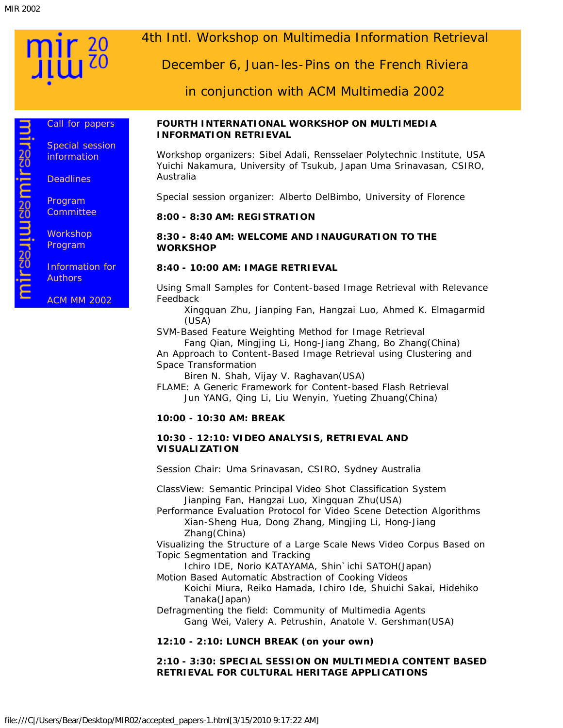mirssuussmirssuu

<span id="page-6-0"></span>[Call for papers](#page-1-0)

[Special session](#page-3-0) [information](#page-3-0)

**[Deadlines](#page-4-0)** 

[Program](#page-5-0) **[Committee](#page-5-0)** 

**[Workshop](#page-6-0)** [Program](#page-6-0)

[Information for](#page-8-0) **[Authors](#page-8-0)** 

[ACM MM 2002](javascript:if(confirm()

## 4th Intl. Workshop on Multimedia Information Retrieval

December 6, Juan-les-Pins on the French Riviera

in conjunction with ACM Multimedia 2002

#### **FOURTH INTERNATIONAL WORKSHOP ON MULTIMEDIA INFORMATION RETRIEVAL**

*Workshop organizers:* Sibel Adali, Rensselaer Polytechnic Institute, USA Yuichi Nakamura, University of Tsukub, Japan Uma Srinavasan, CSIRO, Australia

*Special session organizer:* Alberto DelBimbo, University of Florence

#### **8:00 - 8:30 AM: REGISTRATION**

**8:30 - 8:40 AM: WELCOME AND INAUGURATION TO THE WORKSHOP**

#### **8:40 - 10:00 AM: IMAGE RETRIEVAL**

Using Small Samples for Content-based Image Retrieval with Relevance Feedback

Xingquan Zhu, Jianping Fan, Hangzai Luo, Ahmed K. Elmagarmid (USA)

SVM-Based Feature Weighting Method for Image Retrieval

Fang Qian, Mingjing Li, Hong-Jiang Zhang, Bo Zhang(China) An Approach to Content-Based Image Retrieval using Clustering and Space Transformation

Biren N. Shah, Vijay V. Raghavan(USA)

FLAME: A Generic Framework for Content-based Flash Retrieval Jun YANG, Qing Li, Liu Wenyin, Yueting Zhuang(China)

#### **10:00 - 10:30 AM: BREAK**

#### **10:30 - 12:10: VIDEO ANALYSIS, RETRIEVAL AND VISUALIZATION**

*Session Chair: Uma Srinavasan, CSIRO, Sydney Australia*

ClassView: Semantic Principal Video Shot Classification System Jianping Fan, Hangzai Luo, Xingquan Zhu(USA)

Performance Evaluation Protocol for Video Scene Detection Algorithms Xian-Sheng Hua, Dong Zhang, Mingjing Li, Hong-Jiang Zhang(China)

Visualizing the Structure of a Large Scale News Video Corpus Based on Topic Segmentation and Tracking

Ichiro IDE, Norio KATAYAMA, Shin'ichi SATOH(Japan)

Motion Based Automatic Abstraction of Cooking Videos

Koichi Miura, Reiko Hamada, Ichiro Ide, Shuichi Sakai, Hidehiko Tanaka(Japan)

Defragmenting the field: Community of Multimedia Agents Gang Wei, Valery A. Petrushin, Anatole V. Gershman(USA)

#### **12:10 - 2:10: LUNCH BREAK (on your own)**

#### **2:10 - 3:30: SPECIAL SESSION ON MULTIMEDIA CONTENT BASED RETRIEVAL FOR CULTURAL HERITAGE APPLICATIONS**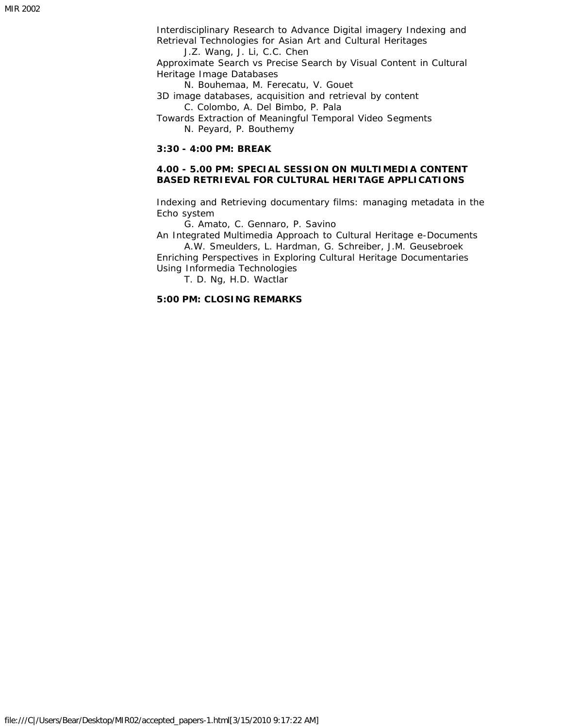Interdisciplinary Research to Advance Digital imagery Indexing and Retrieval Technologies for Asian Art and Cultural Heritages

J.Z. Wang, J. Li, C.C. Chen

Approximate Search vs Precise Search by Visual Content in Cultural Heritage Image Databases

N. Bouhemaa, M. Ferecatu, V. Gouet

3D image databases, acquisition and retrieval by content C. Colombo, A. Del Bimbo, P. Pala

Towards Extraction of Meaningful Temporal Video Segments N. Peyard, P. Bouthemy

#### **3:30 - 4:00 PM: BREAK**

#### **4.00 - 5.00 PM: SPECIAL SESSION ON MULTIMEDIA CONTENT BASED RETRIEVAL FOR CULTURAL HERITAGE APPLICATIONS**

Indexing and Retrieving documentary films: managing metadata in the Echo system

G. Amato, C. Gennaro, P. Savino

An Integrated Multimedia Approach to Cultural Heritage e-Documents A.W. Smeulders, L. Hardman, G. Schreiber, J.M. Geusebroek

Enriching Perspectives in Exploring Cultural Heritage Documentaries Using Informedia Technologies

T. D. Ng, H.D. Wactlar

#### **5:00 PM: CLOSING REMARKS**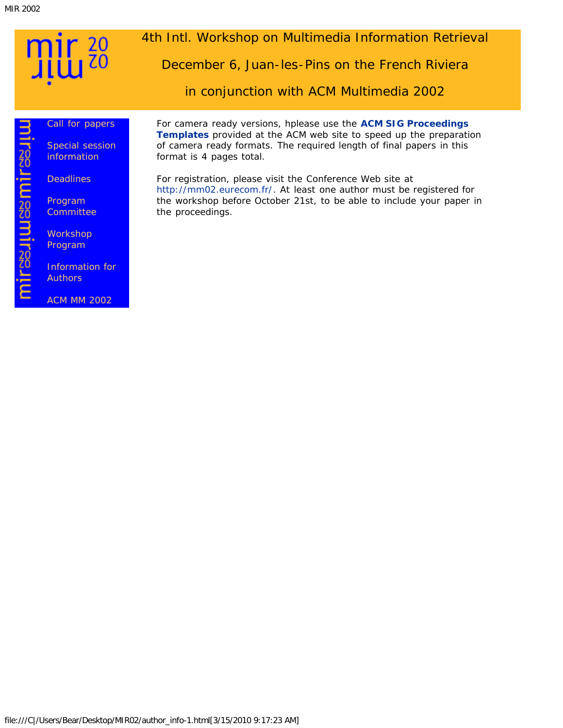mirasuuuasmirasuu

# <span id="page-8-0"></span> $\frac{20}{20}$

### 4th Intl. Workshop on Multimedia Information Retrieval

December 6, Juan-les-Pins on the French Riviera

in conjunction with ACM Multimedia 2002

#### [Call for papers](#page-1-0)

[Special session](#page-3-0) [information](#page-3-0)

**[Deadlines](#page-4-0)** 

[Program](#page-5-0) **[Committee](#page-5-0)** 

**[Workshop](#page-6-0)** [Program](#page-6-0)

[Information for](#page-8-0) **[Authors](#page-8-0)** 

[ACM MM 2002](javascript:if(confirm()

For camera ready versions, hplease use the **[ACM SIG Proceedings](javascript:if(confirm() [Templates](javascript:if(confirm()** provided at the ACM web site to speed up the preparation of camera ready formats. The required length of final papers in this format is 4 pages total.

For registration, please visit the Conference Web site at [http://mm02.eurecom.fr/.](javascript:if(confirm() At least one author must be registered for the workshop before October 21st, to be able to include your paper in the proceedings.